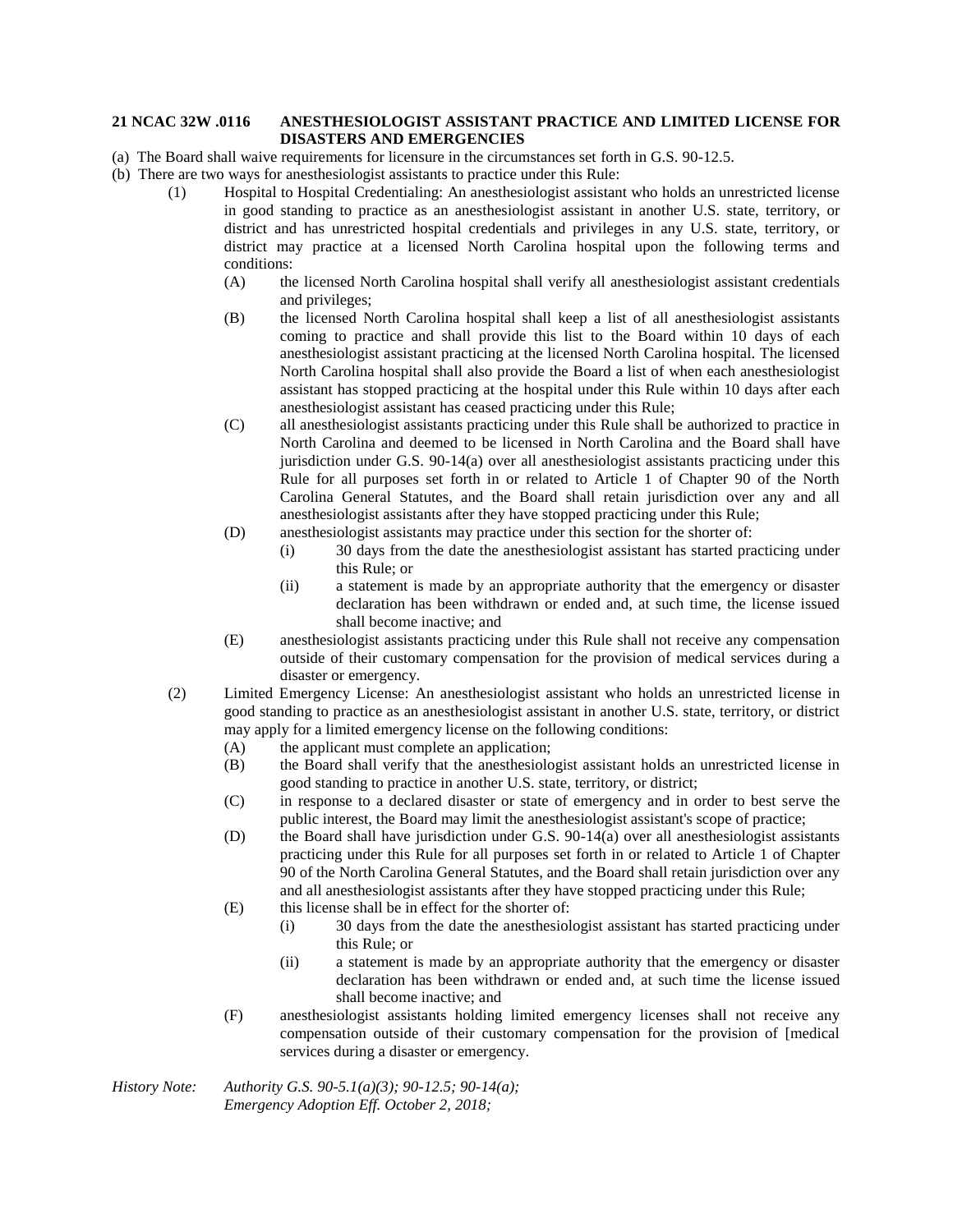## **21 NCAC 32W .0116 ANESTHESIOLOGIST ASSISTANT PRACTICE AND LIMITED LICENSE FOR DISASTERS AND EMERGENCIES**

- (a) The Board shall waive requirements for licensure in the circumstances set forth in G.S. 90-12.5.
- (b) There are two ways for anesthesiologist assistants to practice under this Rule:
	- (1) Hospital to Hospital Credentialing: An anesthesiologist assistant who holds an unrestricted license in good standing to practice as an anesthesiologist assistant in another U.S. state, territory, or district and has unrestricted hospital credentials and privileges in any U.S. state, territory, or district may practice at a licensed North Carolina hospital upon the following terms and conditions:
		- (A) the licensed North Carolina hospital shall verify all anesthesiologist assistant credentials and privileges;
		- (B) the licensed North Carolina hospital shall keep a list of all anesthesiologist assistants coming to practice and shall provide this list to the Board within 10 days of each anesthesiologist assistant practicing at the licensed North Carolina hospital. The licensed North Carolina hospital shall also provide the Board a list of when each anesthesiologist assistant has stopped practicing at the hospital under this Rule within 10 days after each anesthesiologist assistant has ceased practicing under this Rule;
		- (C) all anesthesiologist assistants practicing under this Rule shall be authorized to practice in North Carolina and deemed to be licensed in North Carolina and the Board shall have jurisdiction under G.S. 90-14(a) over all anesthesiologist assistants practicing under this Rule for all purposes set forth in or related to Article 1 of Chapter 90 of the North Carolina General Statutes, and the Board shall retain jurisdiction over any and all anesthesiologist assistants after they have stopped practicing under this Rule;
		- (D) anesthesiologist assistants may practice under this section for the shorter of:
			- (i) 30 days from the date the anesthesiologist assistant has started practicing under this Rule; or
			- (ii) a statement is made by an appropriate authority that the emergency or disaster declaration has been withdrawn or ended and, at such time, the license issued shall become inactive; and
		- (E) anesthesiologist assistants practicing under this Rule shall not receive any compensation outside of their customary compensation for the provision of medical services during a disaster or emergency.
		- (2) Limited Emergency License: An anesthesiologist assistant who holds an unrestricted license in good standing to practice as an anesthesiologist assistant in another U.S. state, territory, or district may apply for a limited emergency license on the following conditions:
			- (A) the applicant must complete an application;
			- (B) the Board shall verify that the anesthesiologist assistant holds an unrestricted license in good standing to practice in another U.S. state, territory, or district;
			- (C) in response to a declared disaster or state of emergency and in order to best serve the public interest, the Board may limit the anesthesiologist assistant's scope of practice;
			- (D) the Board shall have jurisdiction under G.S. 90-14(a) over all anesthesiologist assistants practicing under this Rule for all purposes set forth in or related to Article 1 of Chapter 90 of the North Carolina General Statutes, and the Board shall retain jurisdiction over any and all anesthesiologist assistants after they have stopped practicing under this Rule;
			- (E) this license shall be in effect for the shorter of:
				- (i) 30 days from the date the anesthesiologist assistant has started practicing under this Rule; or
				- (ii) a statement is made by an appropriate authority that the emergency or disaster declaration has been withdrawn or ended and, at such time the license issued shall become inactive; and
			- (F) anesthesiologist assistants holding limited emergency licenses shall not receive any compensation outside of their customary compensation for the provision of [medical services during a disaster or emergency.

*History Note: Authority G.S. 90-5.1(a)(3); 90-12.5; 90-14(a); Emergency Adoption Eff. October 2, 2018;*